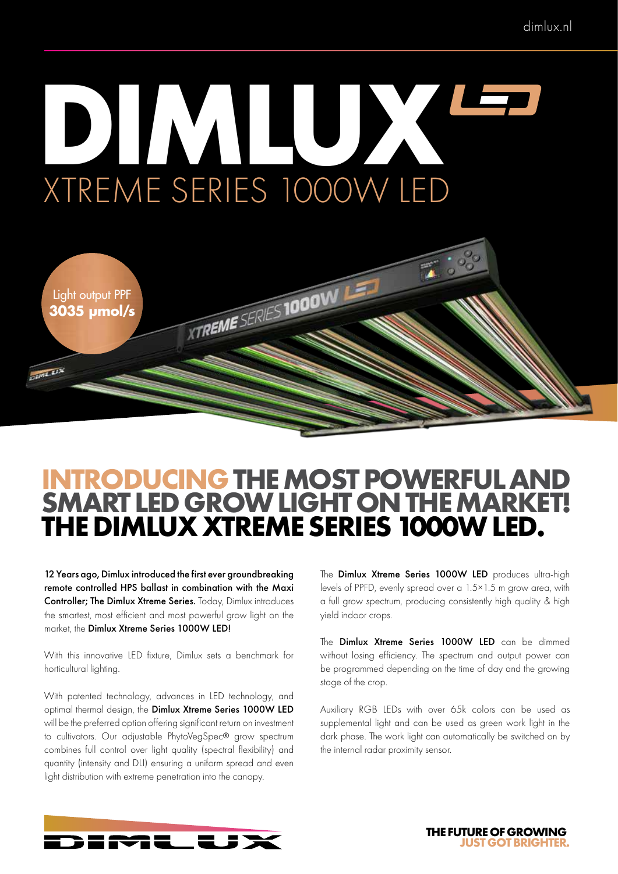# **DIMLUX** XTREME SERIES 1000W LED



### **INTRODUCING THE MOST POWERFUL AND SMART LED GROW LIGHT ON THE MARKET! THE DIMLUX XTREME SERIES 1000W LED.**

12 Years ago, Dimlux introduced the first ever groundbreaking remote controlled HPS ballast in combination with the Maxi Controller; The Dimlux Xtreme Series. Today, Dimlux introduces the smartest, most efficient and most powerful grow light on the market, the Dimlux Xtreme Series 1000W LED!

With this innovative LED fixture, Dimlux sets a benchmark for horticultural lighting.

With patented technology, advances in LED technology, and optimal thermal design, the Dimlux Xtreme Series 1000W LED will be the preferred option offering significant return on investment to cultivators. Our adjustable PhytoVegSpec® grow spectrum combines full control over light quality (spectral flexibility) and quantity (intensity and DLI) ensuring a uniform spread and even light distribution with extreme penetration into the canopy.

The **Dimlux Xtreme Series 1000W LED** produces ultra-high levels of PPFD, evenly spread over a 1.5×1.5 m grow area, with a full grow spectrum, producing consistently high quality & high yield indoor crops.

The Dimlux Xtreme Series 1000W LED can be dimmed without losing efficiency. The spectrum and output power can be programmed depending on the time of day and the growing stage of the crop.

Auxiliary RGB LEDs with over 65k colors can be used as supplemental light and can be used as green work light in the dark phase. The work light can automatically be switched on by the internal radar proximity sensor.



**THE FUTURE OF GROWING JUST GOT BRIGHTER.**